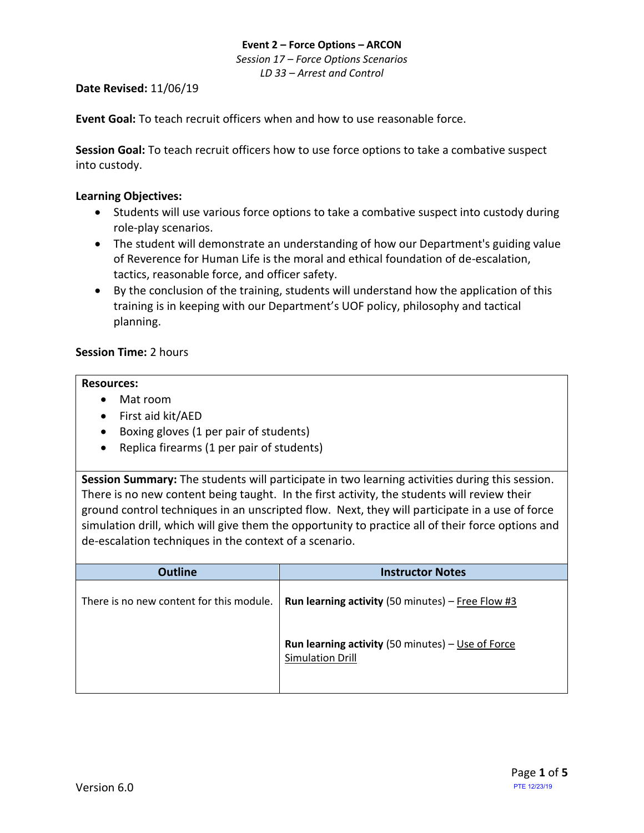### **Event 2 – Force Options – ARCON** *Session 17 – Force Options Scenarios LD 33 – Arrest and Control*

## **Date Revised:** 11/06/19

**Event Goal:** To teach recruit officers when and how to use reasonable force.

**Session Goal:** To teach recruit officers how to use force options to take a combative suspect into custody.

## **Learning Objectives:**

- Students will use various force options to take a combative suspect into custody during role-play scenarios.
- The student will demonstrate an understanding of how our Department's guiding value of Reverence for Human Life is the moral and ethical foundation of de-escalation, tactics, reasonable force, and officer safety.
- By the conclusion of the training, students will understand how the application of this training is in keeping with our Department's UOF policy, philosophy and tactical planning.

## **Session Time:** 2 hours

### **Resources:**

- Mat room
- First aid kit/AED
- Boxing gloves (1 per pair of students)
- Replica firearms (1 per pair of students)

**Session Summary:** The students will participate in two learning activities during this session. There is no new content being taught. In the first activity, the students will review their ground control techniques in an unscripted flow. Next, they will participate in a use of force simulation drill, which will give them the opportunity to practice all of their force options and de-escalation techniques in the context of a scenario.

| <b>Outline</b>                           | <b>Instructor Notes</b>                                                             |
|------------------------------------------|-------------------------------------------------------------------------------------|
| There is no new content for this module. | <b>Run learning activity</b> (50 minutes) – Free Flow #3                            |
|                                          | <b>Run learning activity</b> (50 minutes) - Use of Force<br><b>Simulation Drill</b> |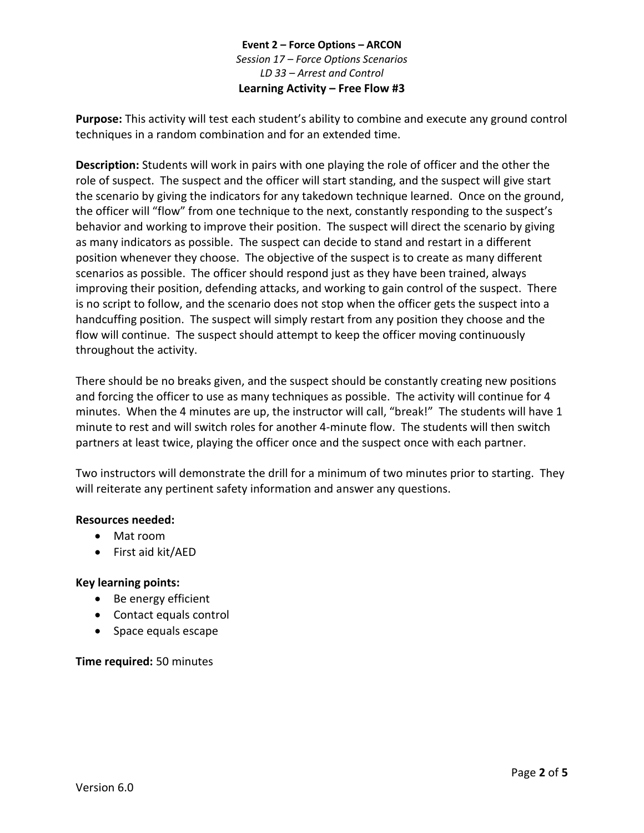## **Event 2 – Force Options – ARCON** *Session 17 – Force Options Scenarios LD 33 – Arrest and Control* **Learning Activity – Free Flow #3**

<span id="page-1-0"></span>**Purpose:** This activity will test each student's ability to combine and execute any ground control techniques in a random combination and for an extended time.

**Description:** Students will work in pairs with one playing the role of officer and the other the role of suspect. The suspect and the officer will start standing, and the suspect will give start the scenario by giving the indicators for any takedown technique learned. Once on the ground, the officer will "flow" from one technique to the next, constantly responding to the suspect's behavior and working to improve their position. The suspect will direct the scenario by giving as many indicators as possible. The suspect can decide to stand and restart in a different position whenever they choose. The objective of the suspect is to create as many different scenarios as possible. The officer should respond just as they have been trained, always improving their position, defending attacks, and working to gain control of the suspect. There is no script to follow, and the scenario does not stop when the officer gets the suspect into a handcuffing position. The suspect will simply restart from any position they choose and the flow will continue. The suspect should attempt to keep the officer moving continuously throughout the activity.

There should be no breaks given, and the suspect should be constantly creating new positions and forcing the officer to use as many techniques as possible. The activity will continue for 4 minutes. When the 4 minutes are up, the instructor will call, "break!" The students will have 1 minute to rest and will switch roles for another 4-minute flow. The students will then switch partners at least twice, playing the officer once and the suspect once with each partner.

Two instructors will demonstrate the drill for a minimum of two minutes prior to starting. They will reiterate any pertinent safety information and answer any questions.

## **Resources needed:**

- Mat room
- First aid kit/AED

## **Key learning points:**

- Be energy efficient
- Contact equals control
- Space equals escape

#### **Time required:** 50 minutes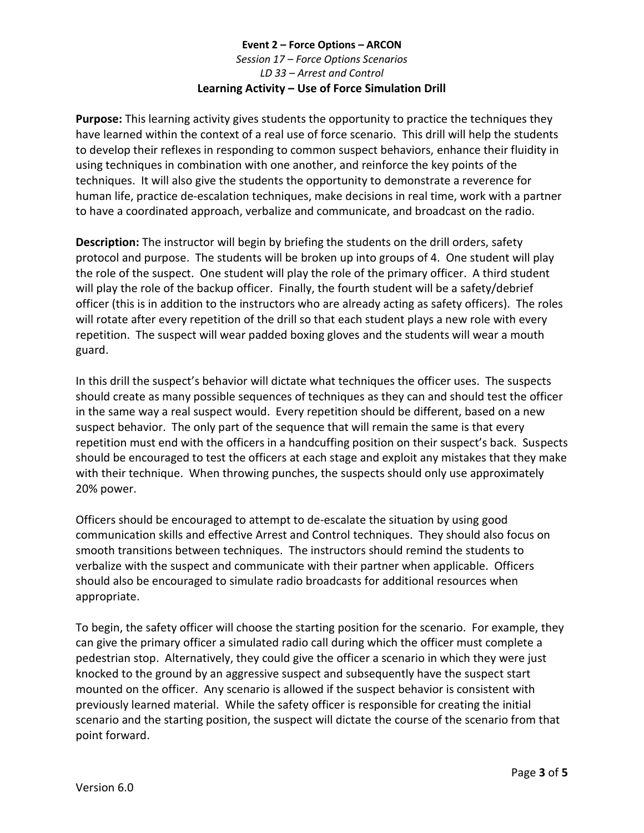# **Event 2 – Force Options – ARCON** *Session 17 – Force Options Scenarios LD 33 – Arrest and Control* **Learning Activity – Use of Force Simulation Drill**

<span id="page-2-0"></span>**Purpose:** This learning activity gives students the opportunity to practice the techniques they have learned within the context of a real use of force scenario. This drill will help the students to develop their reflexes in responding to common suspect behaviors, enhance their fluidity in using techniques in combination with one another, and reinforce the key points of the techniques. It will also give the students the opportunity to demonstrate a reverence for human life, practice de-escalation techniques, make decisions in real time, work with a partner to have a coordinated approach, verbalize and communicate, and broadcast on the radio.

**Description:** The instructor will begin by briefing the students on the drill orders, safety protocol and purpose. The students will be broken up into groups of 4. One student will play the role of the suspect. One student will play the role of the primary officer. A third student will play the role of the backup officer. Finally, the fourth student will be a safety/debrief officer (this is in addition to the instructors who are already acting as safety officers). The roles will rotate after every repetition of the drill so that each student plays a new role with every repetition. The suspect will wear padded boxing gloves and the students will wear a mouth guard.

In this drill the suspect's behavior will dictate what techniques the officer uses. The suspects should create as many possible sequences of techniques as they can and should test the officer in the same way a real suspect would. Every repetition should be different, based on a new suspect behavior. The only part of the sequence that will remain the same is that every repetition must end with the officers in a handcuffing position on their suspect's back. Suspects should be encouraged to test the officers at each stage and exploit any mistakes that they make with their technique. When throwing punches, the suspects should only use approximately 20% power.

Officers should be encouraged to attempt to de-escalate the situation by using good communication skills and effective Arrest and Control techniques. They should also focus on smooth transitions between techniques. The instructors should remind the students to verbalize with the suspect and communicate with their partner when applicable. Officers should also be encouraged to simulate radio broadcasts for additional resources when appropriate.

To begin, the safety officer will choose the starting position for the scenario. For example, they can give the primary officer a simulated radio call during which the officer must complete a pedestrian stop. Alternatively, they could give the officer a scenario in which they were just knocked to the ground by an aggressive suspect and subsequently have the suspect start mounted on the officer. Any scenario is allowed if the suspect behavior is consistent with previously learned material. While the safety officer is responsible for creating the initial scenario and the starting position, the suspect will dictate the course of the scenario from that point forward.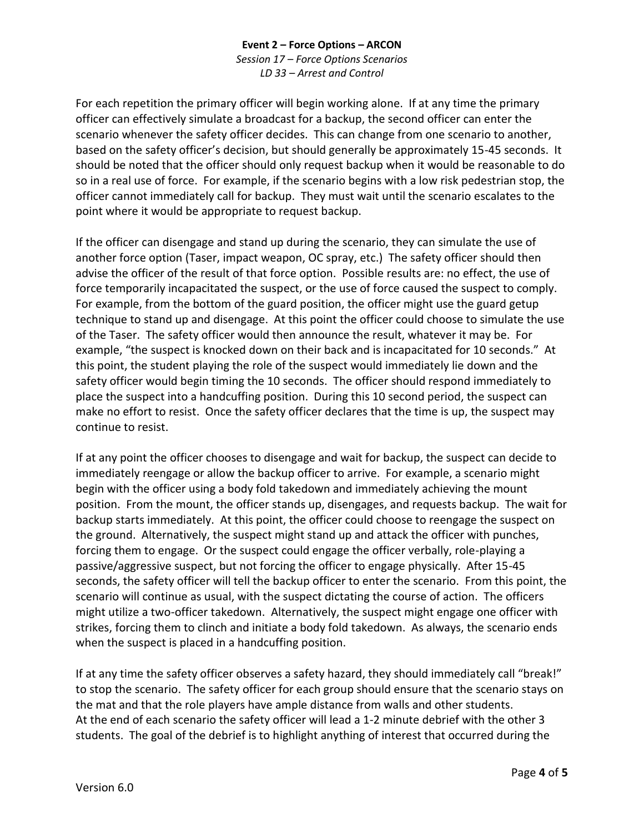## **Event 2 – Force Options – ARCON** *Session 17 – Force Options Scenarios LD 33 – Arrest and Control*

For each repetition the primary officer will begin working alone. If at any time the primary officer can effectively simulate a broadcast for a backup, the second officer can enter the scenario whenever the safety officer decides. This can change from one scenario to another, based on the safety officer's decision, but should generally be approximately 15-45 seconds. It should be noted that the officer should only request backup when it would be reasonable to do so in a real use of force. For example, if the scenario begins with a low risk pedestrian stop, the officer cannot immediately call for backup. They must wait until the scenario escalates to the point where it would be appropriate to request backup.

If the officer can disengage and stand up during the scenario, they can simulate the use of another force option (Taser, impact weapon, OC spray, etc.) The safety officer should then advise the officer of the result of that force option. Possible results are: no effect, the use of force temporarily incapacitated the suspect, or the use of force caused the suspect to comply. For example, from the bottom of the guard position, the officer might use the guard getup technique to stand up and disengage. At this point the officer could choose to simulate the use of the Taser. The safety officer would then announce the result, whatever it may be. For example, "the suspect is knocked down on their back and is incapacitated for 10 seconds." At this point, the student playing the role of the suspect would immediately lie down and the safety officer would begin timing the 10 seconds. The officer should respond immediately to place the suspect into a handcuffing position. During this 10 second period, the suspect can make no effort to resist. Once the safety officer declares that the time is up, the suspect may continue to resist.

If at any point the officer chooses to disengage and wait for backup, the suspect can decide to immediately reengage or allow the backup officer to arrive. For example, a scenario might begin with the officer using a body fold takedown and immediately achieving the mount position. From the mount, the officer stands up, disengages, and requests backup. The wait for backup starts immediately. At this point, the officer could choose to reengage the suspect on the ground. Alternatively, the suspect might stand up and attack the officer with punches, forcing them to engage. Or the suspect could engage the officer verbally, role-playing a passive/aggressive suspect, but not forcing the officer to engage physically. After 15-45 seconds, the safety officer will tell the backup officer to enter the scenario. From this point, the scenario will continue as usual, with the suspect dictating the course of action. The officers might utilize a two-officer takedown. Alternatively, the suspect might engage one officer with strikes, forcing them to clinch and initiate a body fold takedown. As always, the scenario ends when the suspect is placed in a handcuffing position.

If at any time the safety officer observes a safety hazard, they should immediately call "break!" to stop the scenario. The safety officer for each group should ensure that the scenario stays on the mat and that the role players have ample distance from walls and other students. At the end of each scenario the safety officer will lead a 1-2 minute debrief with the other 3 students. The goal of the debrief is to highlight anything of interest that occurred during the